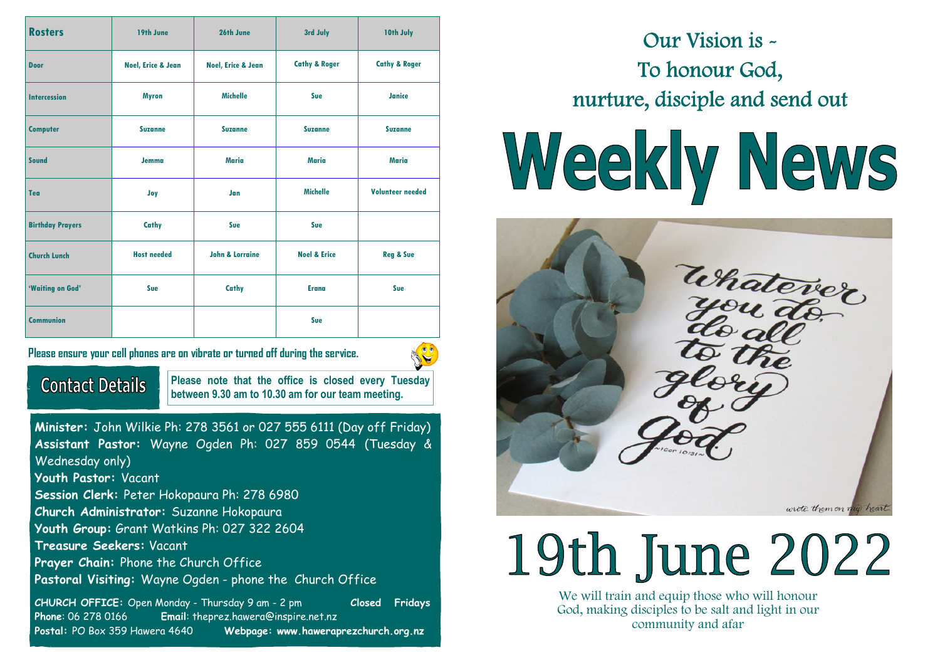| <b>Rosters</b>          | 19th June                     | 26th June                  | 3rd July                 | 10th July                |
|-------------------------|-------------------------------|----------------------------|--------------------------|--------------------------|
| <b>Door</b>             | <b>Noel, Erice &amp; Jean</b> | Noel, Erice & Jean         | <b>Cathy &amp; Roger</b> | <b>Cathy &amp; Roger</b> |
| <b>Intercession</b>     | <b>Myron</b>                  | <b>Michelle</b>            | Sue                      | Janice                   |
| <b>Computer</b>         | <b>Suzanne</b>                | <b>Suzanne</b>             | <b>Suzanne</b>           | <b>Suzanne</b>           |
| <b>Sound</b>            | Jemma                         | <b>Maria</b>               | <b>Maria</b>             | <b>Maria</b>             |
| Tea                     | Joy                           | Jan                        | <b>Michelle</b>          | <b>Volunteer needed</b>  |
| <b>Birthday Prayers</b> | Cathy                         | Sue                        | Sue                      |                          |
| <b>Church Lunch</b>     | <b>Host needed</b>            | <b>John &amp; Lorraine</b> | <b>Noel &amp; Erice</b>  | <b>Reg &amp; Sue</b>     |
| 'Waiting on God'        | Sue                           | Cathy                      | <b>Erana</b>             | Sue                      |
| <b>Communion</b>        |                               |                            | Sue                      |                          |

**Please ensure your cell phones are on vibrate or turned off during the service.** 



**Contact Details** 

**Please note that the office is closed every Tuesday between 9.30 am to 10.30 am for our team meeting.** 

**Minister:** John Wilkie Ph: 278 3561 or 027 555 6111 (Day off Friday) **Assistant Pastor:** Wayne Ogden Ph: 027 859 0544 (Tuesday & Wednesday only) **Youth Pastor:** Vacant **Session Clerk:** Peter Hokopaura Ph: 278 6980 **Church Administrator:** Suzanne Hokopaura **Youth Group:** Grant Watkins Ph: 027 322 2604 **Treasure Seekers:** Vacant **Prayer Chain:** Phone the Church Office **Pastoral Visiting:** Wayne Ogden - phone the Church Office

**CHURCH OFFICE:** Open Monday - Thursday 9 am - 2 pm **Closed Fridays Phone**: 06 278 0166 **Email**: theprez.hawera@inspire.net.nz **Postal:** PO Box 359 Hawera 4640 **Webpage: www.haweraprezchurch.org.nz** 

Our Vision is - To honour God, nurture, disciple and send out

# Weekly News



# 19th June 2022

We will train and equip those who will honour God, making disciples to be salt and light in our community and afar